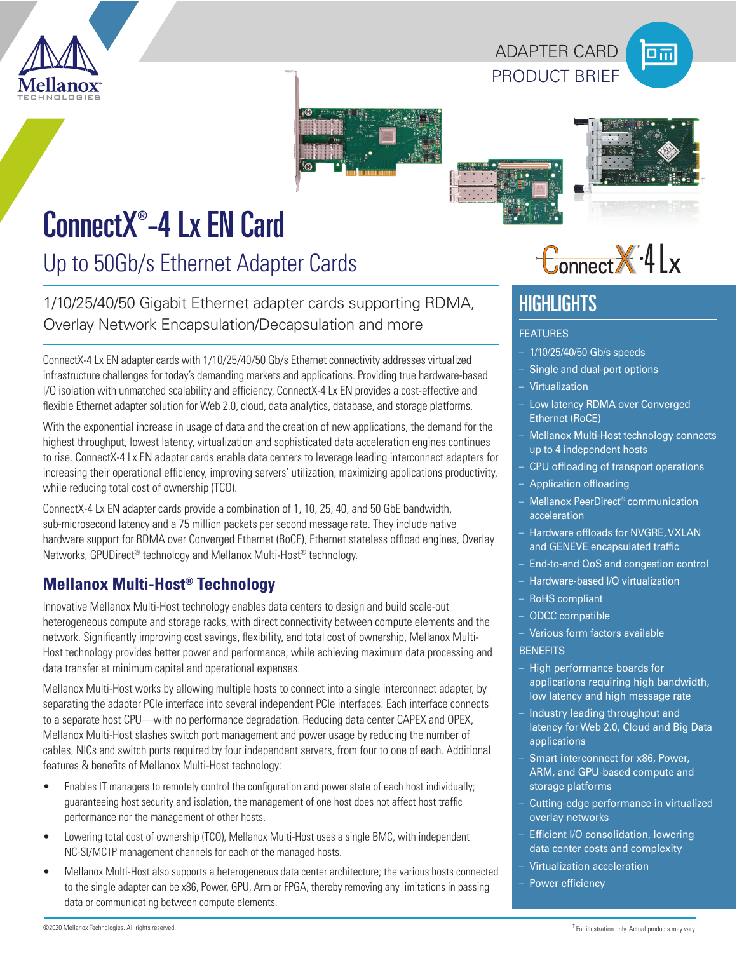

PRODUCT BRIEF ADAPTER CARD







## ConnectX® -4 Lx EN Card

Up to 50Gb/s Ethernet Adapter Cards

1/10/25/40/50 Gigabit Ethernet adapter cards supporting RDMA, Overlay Network Encapsulation/Decapsulation and more

ConnectX-4 Lx EN adapter cards with 1/10/25/40/50 Gb/s Ethernet connectivity addresses virtualized infrastructure challenges for today's demanding markets and applications. Providing true hardware-based I/O isolation with unmatched scalability and efficiency, ConnectX-4 Lx EN provides a cost-effective and flexible Ethernet adapter solution for Web 2.0, cloud, data analytics, database, and storage platforms.

With the exponential increase in usage of data and the creation of new applications, the demand for the highest throughput, lowest latency, virtualization and sophisticated data acceleration engines continues to rise. ConnectX-4 Lx EN adapter cards enable data centers to leverage leading interconnect adapters for increasing their operational efficiency, improving servers' utilization, maximizing applications productivity, while reducing total cost of ownership (TCO).

ConnectX-4 Lx EN adapter cards provide a combination of 1, 10, 25, 40, and 50 GbE bandwidth, sub-microsecond latency and a 75 million packets per second message rate. They include native hardware support for RDMA over Converged Ethernet (RoCE), Ethernet stateless offload engines, Overlay Networks, GPUDirect® technology and Mellanox Multi-Host® technology.

## **Mellanox Multi-Host® Technology**

Innovative Mellanox Multi-Host technology enables data centers to design and build scale-out heterogeneous compute and storage racks, with direct connectivity between compute elements and the network. Significantly improving cost savings, flexibility, and total cost of ownership, Mellanox Multi-Host technology provides better power and performance, while achieving maximum data processing and data transfer at minimum capital and operational expenses.

Mellanox Multi-Host works by allowing multiple hosts to connect into a single interconnect adapter, by separating the adapter PCIe interface into several independent PCIe interfaces. Each interface connects to a separate host CPU—with no performance degradation. Reducing data center CAPEX and OPEX, Mellanox Multi-Host slashes switch port management and power usage by reducing the number of cables, NICs and switch ports required by four independent servers, from four to one of each. Additional features & benefits of Mellanox Multi-Host technology:

- Enables IT managers to remotely control the configuration and power state of each host individually; guaranteeing host security and isolation, the management of one host does not affect host traffic performance nor the management of other hosts.
- Lowering total cost of ownership (TCO), Mellanox Multi-Host uses a single BMC, with independent NC-SI/MCTP management channels for each of the managed hosts.
- Mellanox Multi-Host also supports a heterogeneous data center architecture; the various hosts connected to the single adapter can be x86, Power, GPU, Arm or FPGA, thereby removing any limitations in passing data or communicating between compute elements.

# $-Connet X.4$

## **HIGHLIGHTS**

### FEATURES

- 1/10/25/40/50 Gb/s speeds
- Single and dual-port options
- Virtualization
- Low latency RDMA over Converged Ethernet (RoCE)
- Mellanox Multi-Host technology connects up to 4 independent hosts
- CPU offloading of transport operations
- Application offloading
- Mellanox PeerDirect® communication acceleration
- Hardware offloads for NVGRE, VXLAN and GENEVE encapsulated traffic
- End-to-end QoS and congestion control
- Hardware-based I/O virtualization
- RoHS compliant
- ODCC compatible

– Various form factors available **BENEFITS** 

- High performance boards for applications requiring high bandwidth, low latency and high message rate
- Industry leading throughput and latency for Web 2.0, Cloud and Big Data applications
- Smart interconnect for x86, Power, ARM, and GPU-based compute and storage platforms
- Cutting-edge performance in virtualized overlay networks
- Efficient I/O consolidation, lowering data center costs and complexity
- Virtualization acceleration
- Power efficiency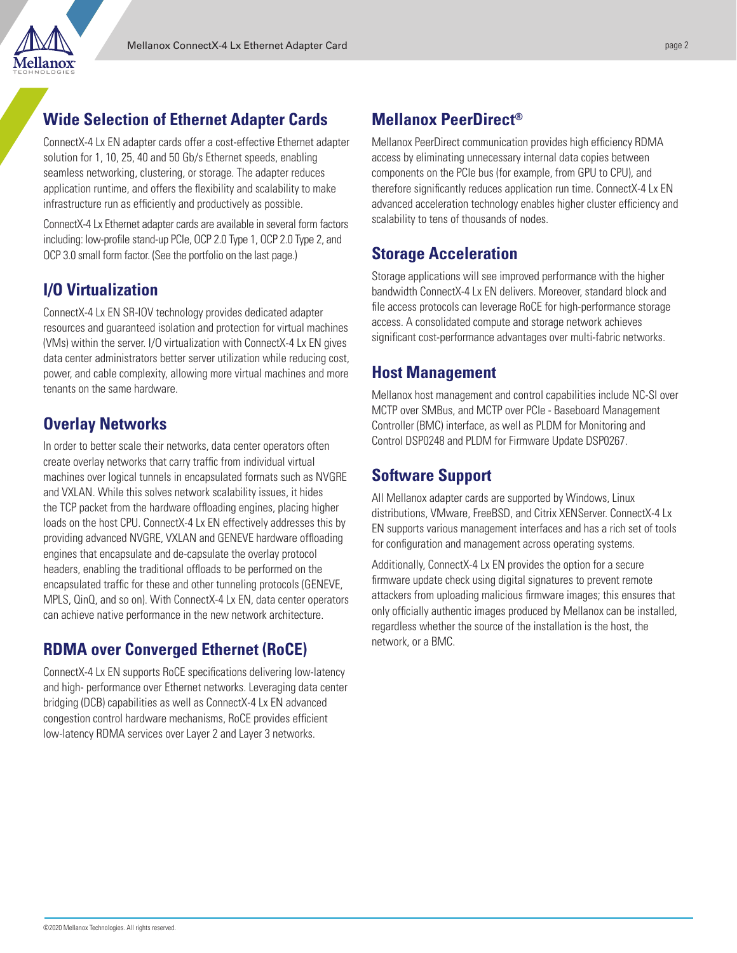

## **Wide Selection of Ethernet Adapter Cards**

ConnectX-4 Lx EN adapter cards offer a cost-effective Ethernet adapter solution for 1, 10, 25, 40 and 50 Gb/s Ethernet speeds, enabling seamless networking, clustering, or storage. The adapter reduces application runtime, and offers the flexibility and scalability to make infrastructure run as efficiently and productively as possible.

ConnectX-4 Lx Ethernet adapter cards are available in several form factors including: low-profile stand-up PCIe, OCP 2.0 Type 1, OCP 2.0 Type 2, and OCP 3.0 small form factor. (See the portfolio on the last page.)

## **I/O Virtualization**

ConnectX-4 Lx EN SR-IOV technology provides dedicated adapter resources and guaranteed isolation and protection for virtual machines (VMs) within the server. I/O virtualization with ConnectX-4 Lx EN gives data center administrators better server utilization while reducing cost, power, and cable complexity, allowing more virtual machines and more tenants on the same hardware.

## **Overlay Networks**

In order to better scale their networks, data center operators often create overlay networks that carry traffic from individual virtual machines over logical tunnels in encapsulated formats such as NVGRE and VXLAN. While this solves network scalability issues, it hides the TCP packet from the hardware offloading engines, placing higher loads on the host CPU. ConnectX-4 Lx EN effectively addresses this by providing advanced NVGRE, VXLAN and GENEVE hardware offloading engines that encapsulate and de-capsulate the overlay protocol headers, enabling the traditional offloads to be performed on the encapsulated traffic for these and other tunneling protocols (GENEVE, MPLS, QinQ, and so on). With ConnectX-4 Lx EN, data center operators can achieve native performance in the new network architecture.

## **RDMA over Converged Ethernet (RoCE)**

ConnectX-4 Lx EN supports RoCE specifications delivering low-latency and high- performance over Ethernet networks. Leveraging data center bridging (DCB) capabilities as well as ConnectX-4 Lx EN advanced congestion control hardware mechanisms, RoCE provides efficient low-latency RDMA services over Layer 2 and Layer 3 networks.

## **Mellanox PeerDirect®**

Mellanox PeerDirect communication provides high efficiency RDMA access by eliminating unnecessary internal data copies between components on the PCIe bus (for example, from GPU to CPU), and therefore significantly reduces application run time. ConnectX-4 Lx EN advanced acceleration technology enables higher cluster efficiency and scalability to tens of thousands of nodes.

## **Storage Acceleration**

Storage applications will see improved performance with the higher bandwidth ConnectX-4 Lx EN delivers. Moreover, standard block and file access protocols can leverage RoCE for high-performance storage access. A consolidated compute and storage network achieves significant cost-performance advantages over multi-fabric networks.

## **Host Management**

Mellanox host management and control capabilities include NC-SI over MCTP over SMBus, and MCTP over PCIe - Baseboard Management Controller (BMC) interface, as well as PLDM for Monitoring and Control DSP0248 and PLDM for Firmware Update DSP0267.

## **Software Support**

All Mellanox adapter cards are supported by Windows, Linux distributions, VMware, FreeBSD, and Citrix XENServer. ConnectX-4 Lx EN supports various management interfaces and has a rich set of tools for configuration and management across operating systems.

Additionally, ConnectX-4 Lx EN provides the option for a secure firmware update check using digital signatures to prevent remote attackers from uploading malicious firmware images; this ensures that only officially authentic images produced by Mellanox can be installed, regardless whether the source of the installation is the host, the network, or a BMC.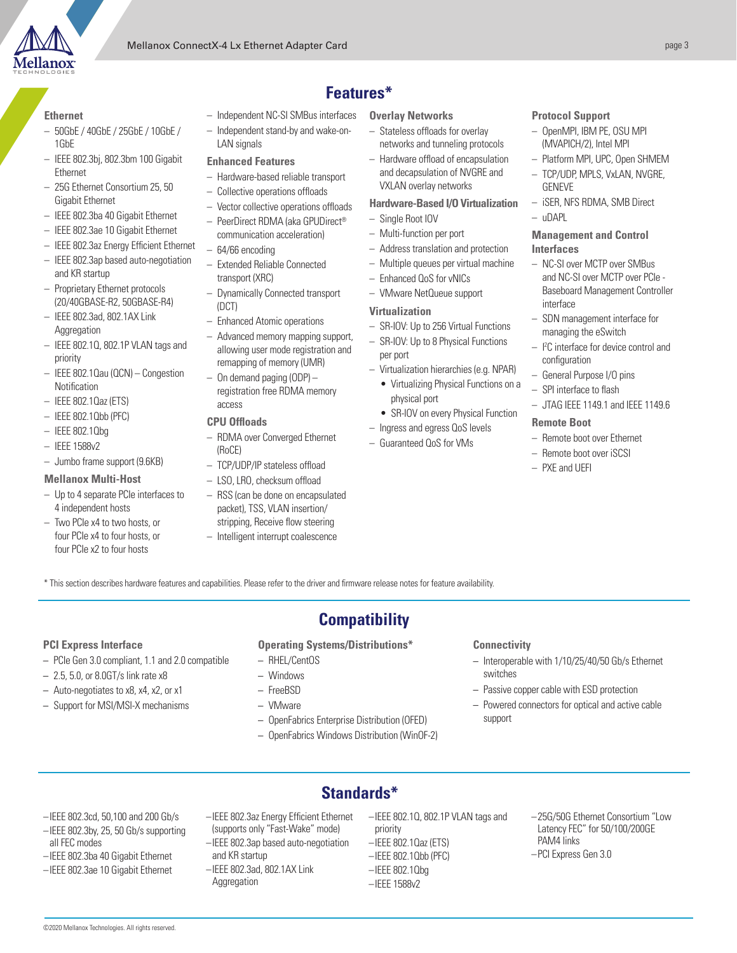

LAN signals **Enhanced Features** 

– 64/66 encoding

transport (XRC)

(DCT)

access **CPU Offloads**

(RoCE)

– Independent stand-by and wake-on-

– Hardware-based reliable transport – Collective operations offloads – Vector collective operations offloads – PeerDirect RDMA (aka GPUDirect® communication acceleration)

– Extended Reliable Connected

– Enhanced Atomic operations – Advanced memory mapping support, allowing user mode registration and remapping of memory (UMR) – On demand paging (ODP) – registration free RDMA memory

– Dynamically Connected transport

#### **Ethernet**

- 50GbE / 40GbE / 25GbE / 10GbE / 1GbE
- IEEE 802.3bj, 802.3bm 100 Gigabit Ethernet
- 25G Ethernet Consortium 25, 50 Gigabit Ethernet
- IEEE 802.3ba 40 Gigabit Ethernet
- IEEE 802.3ae 10 Gigabit Ethernet
- IEEE 802.3az Energy Efficient Ethernet
- IEEE 802.3ap based auto-negotiation and KR startup
- Proprietary Ethernet protocols (20/40GBASE-R2, 50GBASE-R4)
- IEEE 802.3ad, 802.1AX Link Aggregation
- IEEE 802.1Q, 802.1P VLAN tags and priority
- IEEE 802.1Qau (QCN) Congestion Notification
- IEEE 802.1Qaz (ETS)
- IEEE 802.1Qbb (PFC)
- IEEE 802.1Qbg
- IEEE 1588v2
- Jumbo frame support (9.6KB)

#### **Mellanox Multi-Host**

- Up to 4 separate PCIe interfaces to 4 independent hosts
- Two PCIe x4 to two hosts, or four PCIe x4 to four hosts, or four PCIe x2 to four hosts
- **Features\***
- Independent NC-SI SMBus interfaces **Overlay Networks**
	- Stateless offloads for overlay networks and tunneling protocols
	- Hardware offload of encapsulation and decapsulation of NVGRE and VXLAN overlay networks

#### **Hardware-Based I/O Virtualization**

- Single Root IOV
- Multi-function per port
- Address translation and protection
- Multiple queues per virtual machine
- Enhanced QoS for vNICs
- VMware NetQueue support

#### **Virtualization**

- SR-IOV: Up to 256 Virtual Functions – SR-IOV: Up to 8 Physical Functions
- per port – Virtualization hierarchies (e.g. NPAR)
	- Virtualizing Physical Functions on a
	- physical port • SR-IOV on every Physical Function
- Ingress and egress QoS levels
- Guaranteed QoS for VMs

#### **Protocol Support**

- OpenMPI, IBM PE, OSU MPI (MVAPICH/2), Intel MPI
- Platform MPI, UPC, Open SHMEM
- TCP/UDP, MPLS, VxLAN, NVGRE, GENEVE
- iSER, NFS RDMA, SMB Direct  $\mu$ DAPL

#### **Management and Control Interfaces**

- NC-SI over MCTP over SMBus and NC-SI over MCTP over PCIe - Baseboard Management Controller interface
- SDN management interface for managing the eSwitch
- I 2 C interface for device control and configuration
- General Purpose I/O pins
- SPI interface to flash
- JTAG IEEE 1149.1 and IEEE 1149.6

#### **Remote Boot**

- Remote boot over Ethernet
- Remote boot over iSCSI
- PXE and UEFI

\* This section describes hardware features and capabilities. Please refer to the driver and firmware release notes for feature availability.

– RDMA over Converged Ethernet

– TCP/UDP/IP stateless offload – LSO, LRO, checksum offload – RSS (can be done on encapsulated packet), TSS, VLAN insertion/ stripping, Receive flow steering – Intelligent interrupt coalescence

#### **PCI Express Interface**

- PCIe Gen 3.0 compliant, 1.1 and 2.0 compatible
- 2.5, 5.0, or 8.0GT/s link rate x8
- Auto-negotiates to x8, x4, x2, or x1
- Support for MSI/MSI-X mechanisms

## **Compatibility**

**Operating Systems/Distributions\***

- RHEL/CentOS
- Windows
- FreeBSD
- VMware
- 
- OpenFabrics Windows Distribution (WinOF-2)

#### **Connectivity**

- Interoperable with 1/10/25/40/50 Gb/s Ethernet switches
- Passive copper cable with ESD protection
- Powered connectors for optical and active cable support

- –IEEE 802.3cd, 50,100 and 200 Gb/s
- –IEEE 802.3by, 25, 50 Gb/s supporting all FEC modes
- –IEEE 802.3ba 40 Gigabit Ethernet
- –IEEE 802.3ae 10 Gigabit Ethernet
- –IEEE 802.3az Energy Efficient Ethernet
- (supports only "Fast-Wake" mode) –IEEE 802.3ap based auto-negotiation
- and KR startup –IEEE 802.3ad, 802.1AX Link
- Aggregation
- –IEEE 802.1Q, 802.1P VLAN tags and priority
- –IEEE 802.1Qaz (ETS)
- –IEEE 802.1Qbb (PFC) –IEEE 802.1Qbg
- –IEEE 1588v2
- –25G/50G Ethernet Consortium "Low Latency FEC" for 50/100/200GE PAM4 links
- –PCI Express Gen 3.0

- 
- OpenFabrics Enterprise Distribution (OFED)
- 

**Standards\***